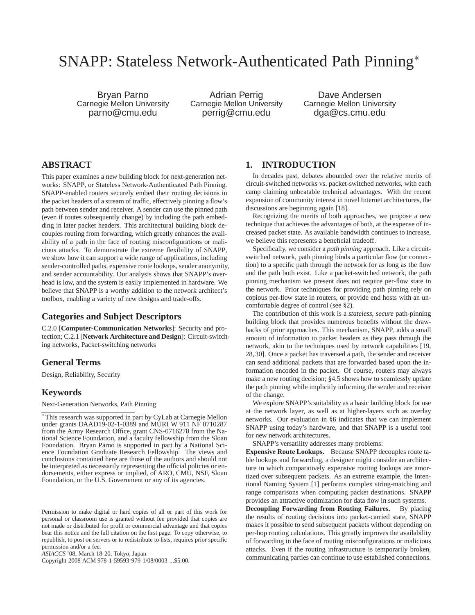# SNAPP: Stateless Network-Authenticated Path Pinning<sup>∗</sup>

Bryan Parno Carnegie Mellon University parno@cmu.edu

Adrian Perrig Carnegie Mellon University perrig@cmu.edu

Dave Andersen Carnegie Mellon University dga@cs.cmu.edu

## **ABSTRACT**

This paper examines a new building block for next-generation networks: SNAPP, or Stateless Network-Authenticated Path Pinning. SNAPP-enabled routers securely embed their routing decisions in the packet headers of a stream of traffic, effectively pinning a flow's path between sender and receiver. A sender can use the pinned path (even if routes subsequently change) by including the path embedding in later packet headers. This architectural building block decouples routing from forwarding, which greatly enhances the availability of a path in the face of routing misconfigurations or malicious attacks. To demonstrate the extreme flexibility of SNAPP, we show how it can support a wide range of applications, including sender-controlled paths, expensive route lookups, sender anonymity, and sender accountability. Our analysis shows that SNAPP's overhead is low, and the system is easily implemented in hardware. We believe that SNAPP is a worthy addition to the network architect's toolbox, enabling a variety of new designs and trade-offs.

#### **Categories and Subject Descriptors**

C.2.0 [**Computer-Communication Networks**]: Security and protection; C.2.1 [**Network Architecture and Design**]: Circuit-switching networks, Packet-switching networks

## **General Terms**

Design, Reliability, Security

## **Keywords**

Next-Generation Networks, Path Pinning

*ASIACCS* '08, March 18-20, Tokyo, Japan

Copyright 2008 ACM 978-1-59593-979-1/08/0003 ...\$5.00.

#### **1. INTRODUCTION**

In decades past, debates abounded over the relative merits of circuit-switched networks vs. packet-switched networks, with each camp claiming unbeatable technical advantages. With the recent expansion of community interest in novel Internet architectures, the discussions are beginning again [18].

Recognizing the merits of both approaches, we propose a new technique that achieves the advantages of both, at the expense of increased packet state. As available bandwidth continues to increase, we believe this represents a beneficial tradeoff.

Specifically, we consider a *path pinning* approach. Like a circuitswitched network, path pinning binds a particular flow (or connection) to a specific path through the network for as long as the flow and the path both exist. Like a packet-switched network, the path pinning mechanism we present does not require per-flow state in the network. Prior techniques for providing path pinning rely on copious per-flow state in routers, or provide end hosts with an uncomfortable degree of control (see §2).

The contribution of this work is a *stateless*, *secure* path-pinning building block that provides numerous benefits without the drawbacks of prior approaches. This mechanism, SNAPP, adds a small amount of information to packet headers as they pass through the network, akin to the techniques used by network capabilities [19, 28,30]. Once a packet has traversed a path, the sender and receiver can send additional packets that are forwarded based upon the information encoded in the packet. Of course, routers may always make a new routing decision; §4.5 shows how to seamlessly update the path pinning while implicitly informing the sender and receiver of the change.

We explore SNAPP's suitability as a basic building block for use at the network layer, as well as at higher-layers such as overlay networks. Our evaluation in §6 indicates that we can implement SNAPP using today's hardware, and that SNAPP is a useful tool for new network architectures.

SNAPP's versatility addresses many problems:

**Expensive Route Lookups.** Because SNAPP decouples route table lookups and forwarding, a designer might consider an architecture in which comparatively expensive routing lookups are amortized over subsequent packets. As an extreme example, the Intentional Naming System [1] performs complex string-matching and range comparisons when computing packet destinations. SNAPP provides an attractive optimization for data flow in such systems.

**Decoupling Forwarding from Routing Failures.** By placing the results of routing decisions into packet-carried state, SNAPP makes it possible to send subsequent packets without depending on per-hop routing calculations. This greatly improves the availability of forwarding in the face of routing misconfigurations or malicious attacks. Even if the routing infrastructure is temporarily broken, communicating parties can continue to use established connections.

<sup>∗</sup>This research was supported in part by CyLab at Carnegie Mellon under grants DAAD19-02-1-0389 and MURI W 911 NF 0710287 from the Army Research Office, grant CNS-0716278 from the National Science Foundation, and a faculty fellowship from the Sloan Foundation. Bryan Parno is supported in part by a National Science Foundation Graduate Research Fellowship. The views and conclusions contained here are those of the authors and should not be interpreted as necessarily representing the official policies or endorsements, either express or implied, of ARO, CMU, NSF, Sloan Foundation, or the U.S. Government or any of its agencies.

Permission to make digital or hard copies of all or part of this work for personal or classroom use is granted without fee provided that copies are not made or distributed for profit or commercial advantage and that copies bear this notice and the full citation on the first page. To copy otherwise, to republish, to post on servers or to redistribute to lists, requires prior specific permission and/or a fee.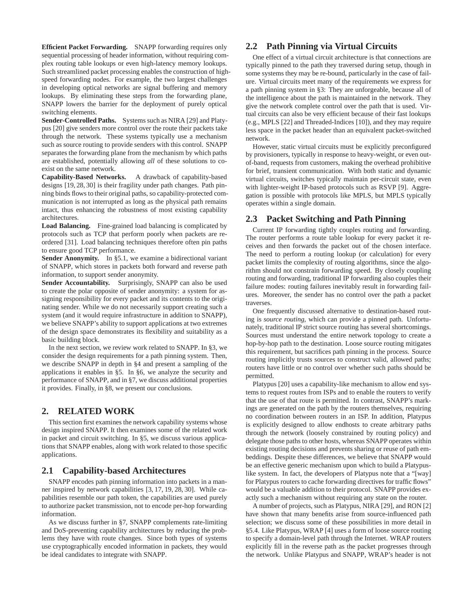**Efficient Packet Forwarding.** SNAPP forwarding requires only sequential processing of header information, without requiring complex routing table lookups or even high-latency memory lookups. Such streamlined packet processing enables the construction of highspeed forwarding nodes. For example, the two largest challenges in developing optical networks are signal buffering and memory lookups. By eliminating these steps from the forwarding plane, SNAPP lowers the barrier for the deployment of purely optical switching elements.

**Sender-Controlled Paths.** Systems such as NIRA [29] and Platypus [20] give senders more control over the route their packets take through the network. These systems typically use a mechanism such as source routing to provide senders with this control. SNAPP separates the forwarding plane from the mechanism by which paths are established, potentially allowing *all* of these solutions to coexist on the same network.

**Capability-Based Networks.** A drawback of capability-based designs [19, 28, 30] is their fragility under path changes. Path pinning binds flows to their original paths, so capability-protected communication is not interrupted as long as the physical path remains intact, thus enhancing the robustness of most existing capability architectures.

**Load Balancing.** Fine-grained load balancing is complicated by protocols such as TCP that perform poorly when packets are reordered [31]. Load balancing techniques therefore often pin paths to ensure good TCP performance.

**Sender Anonymity.** In §5.1, we examine a bidirectional variant of SNAPP, which stores in packets both forward and reverse path information, to support sender anonymity.

Sender Accountability. Surprisingly, SNAPP can also be used to create the polar opposite of sender anonymity: a system for assigning responsibility for every packet and its contents to the originating sender. While we do not necessarily support creating such a system (and it would require infrastructure in addition to SNAPP), we believe SNAPP's ability to support applications at two extremes of the design space demonstrates its flexibility and suitability as a basic building block.

In the next section, we review work related to SNAPP. In §3, we consider the design requirements for a path pinning system. Then, we describe SNAPP in depth in §4 and present a sampling of the applications it enables in §5. In §6, we analyze the security and performance of SNAPP, and in §7, we discuss additional properties it provides. Finally, in §8, we present our conclusions.

## **2. RELATED WORK**

This section first examines the network capability systems whose design inspired SNAPP. It then examines some of the related work in packet and circuit switching. In §5, we discuss various applications that SNAPP enables, along with work related to those specific applications.

## **2.1 Capability-based Architectures**

SNAPP encodes path pinning information into packets in a manner inspired by network capabilities [3, 17, 19, 28, 30]. While capabilities resemble our path token, the capabilities are used purely to authorize packet transmission, not to encode per-hop forwarding information.

As we discuss further in §7, SNAPP complements rate-limiting and DoS-preventing capability architectures by reducing the problems they have with route changes. Since both types of systems use cryptographically encoded information in packets, they would be ideal candidates to integrate with SNAPP.

## **2.2 Path Pinning via Virtual Circuits**

One effect of a virtual circuit architecture is that connections are typically pinned to the path they traversed during setup, though in some systems they may be re-bound, particularly in the case of failure. Virtual circuits meet many of the requirements we express for a path pinning system in §3: They are unforgeable, because all of the intelligence about the path is maintained in the network. They give the network complete control over the path that is used. Virtual circuits can also be very efficient because of their fast lookups (e.g., MPLS [22] and Threaded-Indices [10]), and they may require less space in the packet header than an equivalent packet-switched network.

However, static virtual circuits must be explicitly preconfigured by provisioners, typically in response to heavy-weight, or even outof-band, requests from customers, making the overhead prohibitive for brief, transient communication. With both static and dynamic virtual circuits, switches typically maintain per-circuit state, even with lighter-weight IP-based protocols such as RSVP [9]. Aggregation is possible with protocols like MPLS, but MPLS typically operates within a single domain.

## **2.3 Packet Switching and Path Pinning**

Current IP forwarding tightly couples routing and forwarding. The router performs a route table lookup for every packet it receives and then forwards the packet out of the chosen interface. The need to perform a routing lookup (or calculation) for every packet limits the complexity of routing algorithms, since the algorithm should not constrain forwarding speed. By closely coupling routing and forwarding, traditional IP forwarding also couples their failure modes: routing failures inevitably result in forwarding failures. Moreover, the sender has no control over the path a packet traverses.

One frequently discussed alternative to destination-based routing is *source routing*, which can provide a pinned path. Unfortunately, traditional IP strict source routing has several shortcomings. Sources must understand the entire network topology to create a hop-by-hop path to the destination. Loose source routing mitigates this requirement, but sacrifices path pinning in the process. Source routing implicitly trusts sources to construct valid, allowed paths; routers have little or no control over whether such paths should be permitted.

Platypus [20] uses a capability-like mechanism to allow end systems to request routes from ISPs and to enable the routers to verify that the use of that route is permitted. In contrast, SNAPP's markings are generated on the path by the routers themselves, requiring no coordination between routers in an ISP. In addition, Platypus is explicitly designed to allow endhosts to create arbitrary paths through the network (loosely constrained by routing policy) and delegate those paths to other hosts, whereas SNAPP operates within existing routing decisions and prevents sharing or reuse of path embeddings. Despite these differences, we believe that SNAPP would be an effective generic mechanism upon which to build a Platypuslike system. In fact, the developers of Platypus note that a "[way] for Platypus routers to cache forwarding directives for traffic flows" would be a valuable addition to their protocol. SNAPP provides exactly such a mechanism without requiring any state on the router.

A number of projects, such as Platypus, NIRA [29], and RON [2] have shown that many benefits arise from source-influenced path selection; we discuss some of these possibilities in more detail in §5.4. Like Platypus, WRAP [4] uses a form of loose source routing to specify a domain-level path through the Internet. WRAP routers explicitly fill in the reverse path as the packet progresses through the network. Unlike Platypus and SNAPP, WRAP's header is not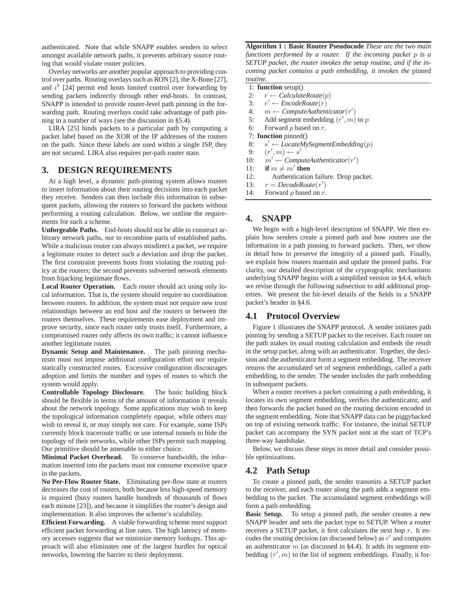authenticated. Note that while SNAPP enables senders to select amongst available network paths, it prevents arbitrary source routing that would violate router policies.

Overlay networks are another popular approach to providing control over paths. Routing overlays such as RON [2], the X-Bone [27], and  $i^3$  [24] permit end hosts limited control over forwarding by sending packets indirectly through other end-hosts. In contrast, SNAPP is intended to provide router-level path pinning in the forwarding path. Routing overlays could take advantage of path pinning in a number of ways (see the discussion in §5.4).

LIRA [25] binds packets to a particular path by computing a packet label based on the XOR of the IP addresses of the routers on the path. Since these labels are used within a single ISP, they are not secured. LIRA also requires per-path router state.

## **3. DESIGN REQUIREMENTS**

At a high level, a dynamic path-pinning system allows routers to insert information about their routing decisions into each packet they receive. Senders can then include this information in subsequent packets, allowing the routers to forward the packets without performing a routing calculation. Below, we outline the requirements for such a scheme.

**Unforgeable Paths.** End-hosts should not be able to construct arbitrary network paths, nor to recombine parts of established paths. While a malicious router can always misdirect a packet, we require a legitimate router to detect such a deviation and drop the packet. The first constraint prevents hosts from violating the routing policy at the routers; the second prevents subverted network elements from hijacking legitimate flows.

**Local Router Operation.** Each router should act using only local information. That is, the system should require no coordination between routers. In addition, the system must not require new trust relationships between an end host and the routers or between the routers themselves. These requirements ease deployment and improve security, since each router only trusts itself. Furthermore, a compromised router only affects its own traffic; it cannot influence another legitimate router.

**Dynamic Setup and Maintenance.** The path pinning mechanism must not impose additional configuration effort nor require statically constructed routes. Excessive configuration discourages adoption and limits the number and types of routes to which the system would apply.

**Controllable Topology Disclosure.** The basic building block should be flexible in terms of the amount of information it reveals about the network topology. Some applications may wish to keep the topological information completely opaque, while others may wish to reveal it, or may simply not care. For example, some ISPs currently block traceroute traffic or use internal tunnels to hide the topology of their networks, while other ISPs permit such mapping. Our primitive should be amenable to either choice.

**Minimal Packet Overhead.** To conserve bandwidth, the information inserted into the packets must not consume excessive space in the packets.

**No Per-Flow Router State.** Eliminating per-flow state at routers decreases the cost of routers, both because less high-speed memory is required (busy routers handle hundreds of thousands of flows each minute [23]), and because it simplifies the router's design and implementation. It also improves the scheme's scalability.

**Efficient Forwarding.** A viable forwarding scheme must support efficient packet forwarding at line rates. The high latency of memory accesses suggests that we minimize memory lookups. This approach will also eliminates one of the largest hurdles for optical networks, lowering the barrier to their deployment.

**Algorithm 1 : Basic Router Pseudocode** *These are the two main functions performed by a router. If the incoming packet* p *is a SETUP packet, the router invokes the* setup *routine, and if the incoming packet contains a path embedding, it invokes the* pinned *routine.*

#### 1: **function** setup()

- 2:  $r \leftarrow CalculateRoute(p)$
- $3:$  $r' \leftarrow$  *EncodeRoute* $(r)$
- 4:  $m \leftarrow ComputeAuthentication(r')$
- 5: Add segment embedding  $(r', m)$  to p
- 6: Forward  $p$  based on  $r$ .
- 7: **function** pinned()
- $8:$  $s' \leftarrow LocateMySegmentEmbedding(p)$
- 9:  $(r',m) \leftarrow s'$
- 10:  $m' \leftarrow ComputeAuthentication(r')$
- 11: **if**  $m \neq m'$  **then**
- 12: Authentication failure. Drop packet.
- 13:  $r = DecodeRound(r')$
- 14: Forward  $p$  based on  $r$ .

### **4. SNAPP**

We begin with a high-level description of SNAPP. We then explain how senders create a pinned path and how routers use the information in a path pinning to forward packets. Then, we show in detail how to preserve the integrity of a pinned path. Finally, we explain how routers maintain and update the pinned paths. For clarity, our detailed description of the cryptographic mechanisms underlying SNAPP begins with a simplified version in §4.4, which we revise through the following subsection to add additional properties. We present the bit-level details of the fields in a SNAPP packet's header in §4.6.

#### **4.1 Protocol Overview**

Figure 1 illustrates the SNAPP protocol. A sender initiates path pinning by sending a SETUP packet to the receiver. Each router on the path makes its usual routing calculation and embeds the result in the setup packet, along with an authenticator. Together, the decision and the authenticator form a segment embedding. The receiver returns the accumulated set of segment embeddings, called a path embedding, to the sender. The sender includes the path embedding in subsequent packets.

When a router receives a packet containing a path embedding, it locates its own segment embedding, verifies the authenticator, and then forwards the packet based on the routing decision encoded in the segment embedding. Note that SNAPP data can be piggybacked on top of existing network traffic. For instance, the initial SETUP packet can accompany the SYN packet sent at the start of TCP's three-way handshake.

Below, we discuss these steps in more detail and consider possible optimizations.

#### **4.2 Path Setup**

To create a pinned path, the sender transmits a SETUP packet to the receiver, and each router along the path adds a segment embedding to the packet. The accumulated segment embeddings will form a path embedding.

**Basic Setup.** To setup a pinned path, the sender creates a new SNAPP header and sets the packet type to SETUP. When a router receives a SETUP packet, it first calculates the next hop  $r$ . It encodes the routing decision (as discussed below) as  $r'$  and computes an authenticator  $m$  (as discussed in §4.4). It adds its segment embedding  $(r', m)$  to the list of segment embeddings. Finally, it for-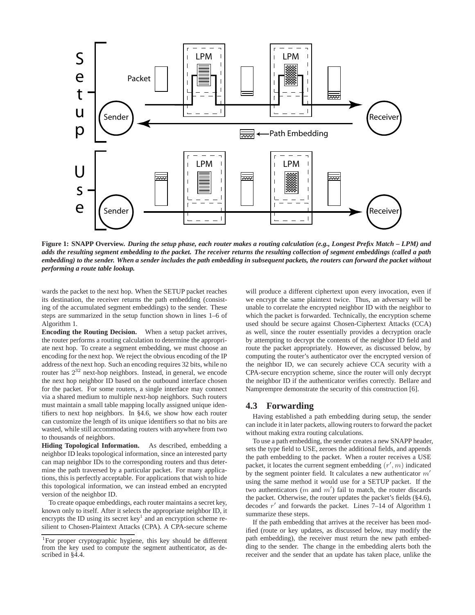

**Figure 1: SNAPP Overview.** *During the setup phase, each router makes a routing calculation (e.g., Longest Prefix Match – LPM) and adds the resulting segment embedding to the packet. The receiver returns the resulting collection of segment embeddings (called a path embedding) to the sender. When a sender includes the path embedding in subsequent packets, the routers can forward the packet without performing a route table lookup.*

wards the packet to the next hop. When the SETUP packet reaches its destination, the receiver returns the path embedding (consisting of the accumulated segment embeddings) to the sender. These steps are summarized in the setup function shown in lines 1–6 of Algorithm 1.

**Encoding the Routing Decision.** When a setup packet arrives, the router performs a routing calculation to determine the appropriate next hop. To create a segment embedding, we must choose an encoding for the next hop. We reject the obvious encoding of the IP address of the next hop. Such an encoding requires 32 bits, while no router has  $2^{32}$  next-hop neighbors. Instead, in general, we encode the next hop neighbor ID based on the outbound interface chosen for the packet. For some routers, a single interface may connect via a shared medium to multiple next-hop neighbors. Such routers must maintain a small table mapping locally assigned unique identifiers to next hop neighbors. In §4.6, we show how each router can customize the length of its unique identifiers so that no bits are wasted, while still accommodating routers with anywhere from two to thousands of neighbors.

**Hiding Topological Information.** As described, embedding a neighbor ID leaks topological information, since an interested party can map neighbor IDs to the corresponding routers and thus determine the path traversed by a particular packet. For many applications, this is perfectly acceptable. For applications that wish to hide this topological information, we can instead embed an encrypted version of the neighbor ID.

To create opaque embeddings, each router maintains a secret key, known only to itself. After it selects the appropriate neighbor ID, it encrypts the ID using its secret key<sup>1</sup> and an encryption scheme resilient to Chosen-Plaintext Attacks (CPA). A CPA-secure scheme

will produce a different ciphertext upon every invocation, even if we encrypt the same plaintext twice. Thus, an adversary will be unable to correlate the encrypted neighbor ID with the neighbor to which the packet is forwarded. Technically, the encryption scheme used should be secure against Chosen-Ciphertext Attacks (CCA) as well, since the router essentially provides a decryption oracle by attempting to decrypt the contents of the neighbor ID field and route the packet appropriately. However, as discussed below, by computing the router's authenticator over the encrypted version of the neighbor ID, we can securely achieve CCA security with a CPA-secure encryption scheme, since the router will only decrypt the neighbor ID if the authenticator verifies correctly. Bellare and Namprempre demonstrate the security of this construction [6].

#### **4.3 Forwarding**

Having established a path embedding during setup, the sender can include it in later packets, allowing routers to forward the packet without making extra routing calculations.

To use a path embedding, the sender creates a new SNAPP header, sets the type field to USE, zeroes the additional fields, and appends the path embedding to the packet. When a router receives a USE packet, it locates the current segment embedding  $(r', m)$  indicated by the segment pointer field. It calculates a new authenticator  $m'$ using the same method it would use for a SETUP packet. If the two authenticators  $(m \text{ and } m')$  fail to match, the router discards the packet. Otherwise, the router updates the packet's fields (§4.6), decodes  $r'$  and forwards the packet. Lines  $7-14$  of Algorithm 1 summarize these steps.

If the path embedding that arrives at the receiver has been modified (route or key updates, as discussed below, may modify the path embedding), the receiver must return the new path embedding to the sender. The change in the embedding alerts both the receiver and the sender that an update has taken place, unlike the

<sup>&</sup>lt;sup>1</sup>For proper cryptographic hygiene, this key should be different from the key used to compute the segment authenticator, as described in §4.4.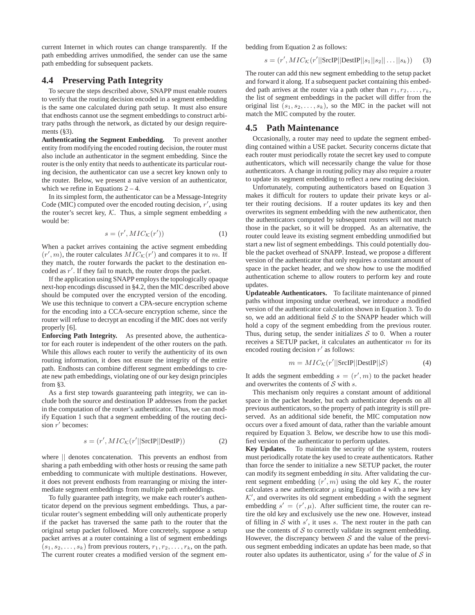current Internet in which routes can change transparently. If the path embedding arrives unmodified, the sender can use the same path embedding for subsequent packets.

## **4.4 Preserving Path Integrity**

To secure the steps described above, SNAPP must enable routers to verify that the routing decision encoded in a segment embedding is the same one calculated during path setup. It must also ensure that endhosts cannot use the segment embeddings to construct arbitrary paths through the network, as dictated by our design requirements (§3).

**Authenticating the Segment Embedding.** To prevent another entity from modifying the encoded routing decision, the router must also include an authenticator in the segment embedding. Since the router is the only entity that needs to authenticate its particular routing decision, the authenticator can use a secret key known only to the router. Below, we present a naïve version of an authenticator, which we refine in Equations  $2 - 4$ .

In its simplest form, the authenticator can be a Message-Integrity Code (MIC) computed over the encoded routing decision,  $r'$ , using the router's secret key,  $K$ . Thus, a simple segment embedding  $s$ would be:

$$
s = (r', MIC_{\mathcal{K}}(r')) \tag{1}
$$

When a packet arrives containing the active segment embedding  $(r', m)$ , the router calculates  $\overline{MIC}_{\mathcal{K}}(r')$  and compares it to m. If they match, the router forwards the packet to the destination encoded as r ′ . If they fail to match, the router drops the packet.

If the application using SNAPP employs the topologically opaque next-hop encodings discussed in §4.2, then the MIC described above should be computed over the encrypted version of the encoding. We use this technique to convert a CPA-secure encryption scheme for the encoding into a CCA-secure encryption scheme, since the router will refuse to decrypt an encoding if the MIC does not verify properly [6].

**Enforcing Path Integrity.** As presented above, the authenticator for each router is independent of the other routers on the path. While this allows each router to verify the authenticity of its own routing information, it does not ensure the integrity of the entire path. Endhosts can combine different segment embeddings to create new path embeddings, violating one of our key design principles from §3.

As a first step towards guaranteeing path integrity, we can include both the source and destination IP addresses from the packet in the computation of the router's authenticator. Thus, we can modify Equation 1 such that a segment embedding of the routing decision  $\vec{r'}$  becomes:

$$
s = (r', MIC_{\mathcal{K}}(r'||SrcIP||DestIP))
$$
 (2)

where || denotes concatenation. This prevents an endhost from sharing a path embedding with other hosts or reusing the same path embedding to communicate with multiple destinations. However, it does not prevent endhosts from rearranging or mixing the intermediate segment embeddings from multiple path embeddings.

To fully guarantee path integrity, we make each router's authenticator depend on the previous segment embeddings. Thus, a particular router's segment embedding will only authenticate properly if the packet has traversed the same path to the router that the original setup packet followed. More concretely, suppose a setup packet arrives at a router containing a list of segment embeddings  $(s_1, s_2, \ldots, s_k)$  from previous routers,  $r_1, r_2, \ldots, r_k$ , on the path. The current router creates a modified version of the segment embedding from Equation 2 as follows:

$$
s = (r', MIC_{\mathcal{K}}(r'||SrcIP||DestIP||s_1||s_2||...||s_k))
$$
 (3)

The router can add this new segment embedding to the setup packet and forward it along. If a subsequent packet containing this embedded path arrives at the router via a path other than  $r_1, r_2, \ldots, r_k$ , the list of segment embeddings in the packet will differ from the original list  $(s_1, s_2, \ldots, s_k)$ , so the MIC in the packet will not match the MIC computed by the router.

#### **4.5 Path Maintenance**

Occasionally, a router may need to update the segment embedding contained within a USE packet. Security concerns dictate that each router must periodically rotate the secret key used to compute authenticators, which will necessarily change the value for those authenticators. A change in routing policy may also require a router to update its segment embedding to reflect a new routing decision.

Unfortunately, computing authenticators based on Equation 3 makes it difficult for routers to update their private keys or alter their routing decisions. If a router updates its key and then overwrites its segment embedding with the new authenticator, then the authenticators computed by subsequent routers will not match those in the packet, so it will be dropped. As an alternative, the router could leave its existing segment embedding unmodified but start a new list of segment embeddings. This could potentially double the packet overhead of SNAPP. Instead, we propose a different version of the authenticator that only requires a constant amount of space in the packet header, and we show how to use the modified authentication scheme to allow routers to perform key and route updates.

**Updateable Authenticators.** To facilitate maintenance of pinned paths without imposing undue overhead, we introduce a modified version of the authenticator calculation shown in Equation 3. To do so, we add an additional field  $S$  to the SNAPP header which will hold a copy of the segment embedding from the previous router. Thus, during setup, the sender initializes  $S$  to 0. When a router receives a SETUP packet, it calculates an authenticator  $m$  for its encoded routing decision  $r'$  as follows:

$$
m = MIC_{\mathcal{K}}(r'||\text{SrcIP}||\text{DestIP}||\mathcal{S})
$$
\n(4)

It adds the segment embedding  $s = (r', m)$  to the packet header and overwrites the contents of  $S$  with  $s$ .

This mechanism only requires a constant amount of additional space in the packet header, but each authenticator depends on all previous authenticators, so the property of path integrity is still preserved. As an additional side benefit, the MIC computation now occurs over a fixed amount of data, rather than the variable amount required by Equation 3. Below, we describe how to use this modified version of the authenticator to perform updates.

**Key Updates.** To maintain the security of the system, routers must periodically rotate the key used to create authenticators. Rather than force the sender to initialize a new SETUP packet, the router can modify its segment embedding *in situ*. After validating the current segment embedding  $(r', m)$  using the old key K, the router calculates a new authenticator  $\mu$  using Equation 4 with a new key  $K'$ , and overwrites its old segment embedding s with the segment embedding  $s' = (r', \mu)$ . After sufficient time, the router can retire the old key and exclusively use the new one. However, instead of filling in  $\overline{S}$  with  $s'$ , it uses s. The next router in the path can use the contents of  $S$  to correctly validate its segment embedding. However, the discrepancy between  $S$  and the value of the previous segment embedding indicates an update has been made, so that router also updates its authenticator, using  $s'$  for the value of  $S$  in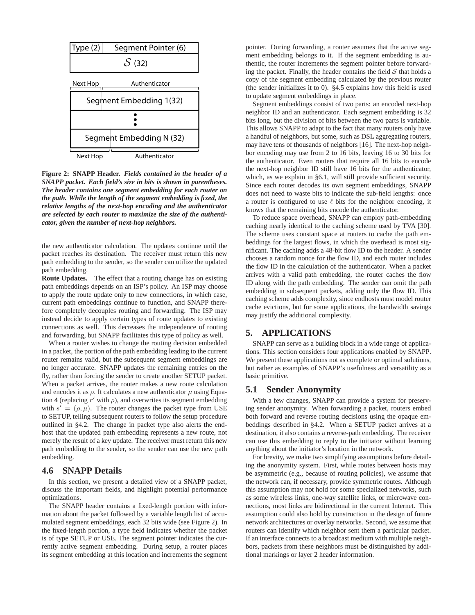

**Figure 2: SNAPP Header.** *Fields contained in the header of a SNAPP packet. Each field's size in bits is shown in parentheses. The header contains one segment embedding for each router on the path. While the length of the segment embedding is fixed, the relative lengths of the next-hop encoding and the authenticator are selected by each router to maximize the size of the authenticator, given the number of next-hop neighbors.*

the new authenticator calculation. The updates continue until the packet reaches its destination. The receiver must return this new path embedding to the sender, so the sender can utilize the updated path embedding.

**Route Updates.** The effect that a routing change has on existing path embeddings depends on an ISP's policy. An ISP may choose to apply the route update only to new connections, in which case, current path embeddings continue to function, and SNAPP therefore completely decouples routing and forwarding. The ISP may instead decide to apply certain types of route updates to existing connections as well. This decreases the independence of routing and forwarding, but SNAPP facilitates this type of policy as well.

When a router wishes to change the routing decision embedded in a packet, the portion of the path embedding leading to the current router remains valid, but the subsequent segment embeddings are no longer accurate. SNAPP updates the remaining entries on the fly, rather than forcing the sender to create another SETUP packet. When a packet arrives, the router makes a new route calculation and encodes it as  $\rho$ . It calculates a new authenticator  $\mu$  using Equation 4 (replacing  $r'$  with  $\rho$ ), and overwrites its segment embedding with  $s' = (\rho, \mu)$ . The router changes the packet type from USE to SETUP, telling subsequent routers to follow the setup procedure outlined in §4.2. The change in packet type also alerts the endhost that the updated path embedding represents a new route, not merely the result of a key update. The receiver must return this new path embedding to the sender, so the sender can use the new path embedding.

## **4.6 SNAPP Details**

In this section, we present a detailed view of a SNAPP packet, discuss the important fields, and highlight potential performance optimizations.

The SNAPP header contains a fixed-length portion with information about the packet followed by a variable length list of accumulated segment embeddings, each 32 bits wide (see Figure 2). In the fixed-length portion, a type field indicates whether the packet is of type SETUP or USE. The segment pointer indicates the currently active segment embedding. During setup, a router places its segment embedding at this location and increments the segment pointer. During forwarding, a router assumes that the active segment embedding belongs to it. If the segment embedding is authentic, the router increments the segment pointer before forwarding the packet. Finally, the header contains the field  $S$  that holds a copy of the segment embedding calculated by the previous router (the sender initializes it to 0). §4.5 explains how this field is used to update segment embeddings in place.

Segment embeddings consist of two parts: an encoded next-hop neighbor ID and an authenticator. Each segment embedding is 32 bits long, but the division of bits between the two parts is variable. This allows SNAPP to adapt to the fact that many routers only have a handful of neighbors, but some, such as DSL aggregating routers, may have tens of thousands of neighbors [16]. The next-hop neighbor encoding may use from 2 to 16 bits, leaving 16 to 30 bits for the authenticator. Even routers that require all 16 bits to encode the next-hop neighbor ID still have 16 bits for the authenticator, which, as we explain in §6.1, will still provide sufficient security. Since each router decodes its own segment embeddings, SNAPP does not need to waste bits to indicate the sub-field lengths: once a router is configured to use  $\ell$  bits for the neighbor encoding, it knows that the remaining bits encode the authenticator.

To reduce space overhead, SNAPP can employ path-embedding caching nearly identical to the caching scheme used by TVA [30]. The scheme uses constant space at routers to cache the path embeddings for the largest flows, in which the overhead is most significant. The caching adds a 48-bit flow ID to the header. A sender chooses a random nonce for the flow ID, and each router includes the flow ID in the calculation of the authenticator. When a packet arrives with a valid path embedding, the router caches the flow ID along with the path embedding. The sender can omit the path embedding in subsequent packets, adding only the flow ID. This caching scheme adds complexity, since endhosts must model router cache evictions, but for some applications, the bandwidth savings may justify the additional complexity.

## **5. APPLICATIONS**

SNAPP can serve as a building block in a wide range of applications. This section considers four applications enabled by SNAPP. We present these applications not as complete or optimal solutions, but rather as examples of SNAPP's usefulness and versatility as a basic primitive.

#### **5.1 Sender Anonymity**

With a few changes, SNAPP can provide a system for preserving sender anonymity. When forwarding a packet, routers embed both forward and reverse routing decisions using the opaque embeddings described in §4.2. When a SETUP packet arrives at a destination, it also contains a reverse-path embedding. The receiver can use this embedding to reply to the initiator without learning anything about the initiator's location in the network.

For brevity, we make two simplifying assumptions before detailing the anonymity system. First, while routes between hosts may be asymmetric (e.g., because of routing policies), we assume that the network can, if necessary, provide symmetric routes. Although this assumption may not hold for some specialized networks, such as some wireless links, one-way satellite links, or microwave connections, most links are bidirectional in the current Internet. This assumption could also hold by construction in the design of future network architectures or overlay networks. Second, we assume that routers can identify which neighbor sent them a particular packet. If an interface connects to a broadcast medium with multiple neighbors, packets from these neighbors must be distinguished by additional markings or layer 2 header information.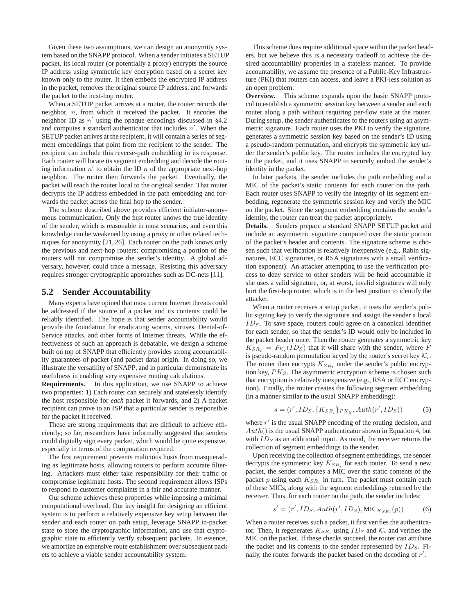Given these two assumptions, we can design an anonymity system based on the SNAPP protocol. When a sender initiates a SETUP packet, its local router (or potentially a proxy) encrypts the source IP address using symmetric key encryption based on a secret key known only to the router. It then embeds the encrypted IP address in the packet, removes the original source IP address, and forwards the packet to the next-hop router.

When a SETUP packet arrives at a router, the router records the neighbor, n, from which it received the packet. It encodes the neighbor ID as  $n'$  using the opaque encodings discussed in §4.2 and computes a standard authenticator that includes  $n'$ . When the SETUP packet arrives at the recipient, it will contain a series of segment embeddings that point from the recipient to the sender. The recipient can include this reverse-path embedding in its response. Each router will locate its segment embedding and decode the routing information  $n'$  to obtain the ID  $n$  of the appropriate next-hop neighbor. The router then forwards the packet. Eventually, the packet will reach the router local to the original sender. That router decrypts the IP address embedded in the path embedding and forwards the packet across the final hop to the sender.

The scheme described above provides efficient initiator-anonymous communication. Only the first router knows the true identity of the sender, which is reasonable in most scenarios, and even this knowledge can be weakened by using a proxy or other related techniques for anonymity [21, 26]. Each router on the path knows only the previous and next-hop routers; compromising a portion of the routers will not compromise the sender's identity. A global adversary, however, could trace a message. Resisting this adversary requires stronger cryptographic approaches such as DC-nets [11].

#### **5.2 Sender Accountability**

Many experts have opined that most current Internet threats could be addressed if the source of a packet and its contents could be reliably identified. The hope is that sender accountability would provide the foundation for eradicating worms, viruses, Denial-of-Service attacks, and other forms of Internet threats. While the effectiveness of such an approach is debatable, we design a scheme built on top of SNAPP that efficiently provides strong accountability guarantees of packet (and packet data) origin. In doing so, we illustrate the versatility of SNAPP, and in particular demonstrate its usefulness in enabling very expensive routing calculations.

**Requirements.** In this application, we use SNAPP to achieve two properties: 1) Each router can securely and statelessly identify the host responsible for *each* packet it forwards, and 2) A packet recipient can prove to an ISP that a particular sender is responsible for the packet it received.

These are strong requirements that are difficult to achieve efficiently; so far, researchers have informally suggested that senders could digitally sign every packet, which would be quite expensive, especially in terms of the computation required.

The first requirement prevents malicious hosts from masquerading as legitimate hosts, allowing routers to perform accurate filtering. Attackers must either take responsibility for their traffic or compromise legitimate hosts. The second requirement allows ISPs to respond to customer complaints in a fair and accurate manner.

Our scheme achieves these properties while imposing a minimal computational overhead. Our key insight for designing an efficient system is to perform a relatively expensive key setup between the sender and each router on path setup, leverage SNAPP in-packet state to store the cryptographic information, and use that cryptographic state to efficiently verify subsequent packets. In essence, we amortize an expensive route establishment over subsequent packets to achieve a viable sender accountability system.

This scheme does require additional space within the packet headers, but we believe this is a necessary tradeoff to achieve the desired accountability properties in a stateless manner. To provide accountability, we assume the presence of a Public-Key Infrastructure (PKI) that routers can access, and leave a PKI-less solution as an open problem.

**Overview.** This scheme expands upon the basic SNAPP protocol to establish a symmetric session key between a sender and each router along a path without requiring per-flow state at the router. During setup, the sender authenticates to the routers using an asymmetric signature. Each router uses the PKI to verify the signature, generates a symmetric session key based on the sender's ID using a pseudo-random permutation, and encrypts the symmetric key under the sender's public key. The router includes the encrypted key in the packet, and it uses SNAPP to securely embed the sender's identity in the packet.

In later packets, the sender includes the path embedding and a MIC of the packet's static contents for each router on the path. Each router uses SNAPP to verify the integrity of its segment embedding, regenerate the symmetric session key and verify the MIC on the packet. Since the segment embedding contains the sender's identity, the router can treat the packet appropriately.

**Details.** Senders prepare a standard SNAPP SETUP packet and include an asymmetric signature computed over the static portion of the packet's header and contents. The signature scheme is chosen such that verification is relatively inexpensive (e.g., Rabin signatures, ECC signatures, or RSA signatures with a small verification exponent). An attacker attempting to use the verification process to deny service to other senders will be held accountable if she uses a valid signature, or, at worst, invalid signatures will only hurt the first-hop router, which is in the best position to identify the attacker.

When a router receives a setup packet, it uses the sender's public signing key to verify the signature and assign the sender a local  $ID<sub>S</sub>$ . To save space, routers could agree on a canonical identifier for each sender, so that the sender's ID would only be included in the packet header once. Then the router generates a symmetric key  $K_{SR_i} = F_{\mathcal{K}_i}(ID_S)$  that it will share with the sender, where F is pseudo-random permutation keyed by the router's secret key  $\mathcal{K}_i$ . The router then encrypts  $K_{SR_i}$  under the sender's public encryption key,  $PK<sub>S</sub>$ . The asymmetric encryption scheme is chosen such that encryption is relatively inexpensive (e.g., RSA or ECC encryption). Finally, the router creates the following segment embedding (in a manner similar to the usual SNAPP embedding):

$$
s = (r', IDs, \{K_{SR_i}\}_{PK_S}, \t{Author', ID_S}))
$$
 (5)

where  $r'$  is the usual SNAPP encoding of the routing decision, and  $Auth()$  is the usual SNAPP authenticator shown in Equation 4, but with  $ID_S$  as an additional input. As usual, the receiver returns the collection of segment embeddings to the sender.

Upon receiving the collection of segment embeddings, the sender decrypts the symmetric key  $K_{SR_i}$  for each router. To send a new packet, the sender computes a MIC over the static contents of the packet p using each  $K_{SR_i}$  in turn. The packet must contain each of these MICs, along with the segment embeddings returned by the receiver. Thus, for each router on the path, the sender includes:

$$
s' = (r', ID_S, Author', ID_S), MIC_{K_{SR_i}}(p))
$$
 (6)

When a router receives such a packet, it first verifies the authenticator. Then, it regenerates  $K_{SR_i}$  using  $ID_S$  and  $\mathcal{K}_i$  and verifies the MIC on the packet. If these checks succeed, the router can attribute the packet and its contents to the sender represented by  $ID_S$ . Finally, the router forwards the packet based on the decoding of  $r'$ .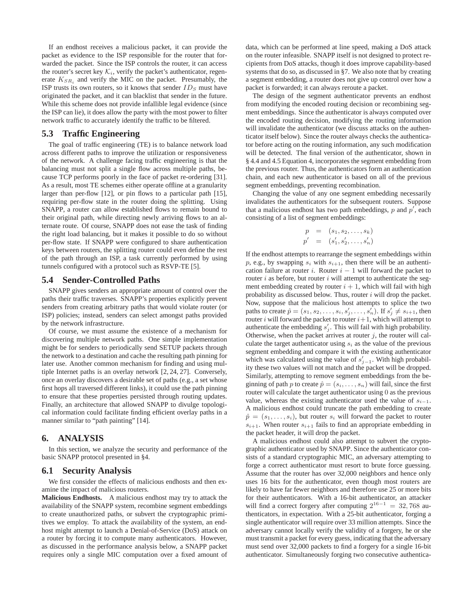If an endhost receives a malicious packet, it can provide the packet as evidence to the ISP responsible for the router that forwarded the packet. Since the ISP controls the router, it can access the router's secret key  $\mathcal{K}_i$ , verify the packet's authenticator, regenerate  $K_{SR_i}$  and verify the MIC on the packet. Presumably, the ISP trusts its own routers, so it knows that sender  $ID<sub>S</sub>$  must have originated the packet, and it can blacklist that sender in the future. While this scheme does not provide infallible legal evidence (since the ISP can lie), it does allow the party with the most power to filter network traffic to accurately identify the traffic to be filtered.

## **5.3 Traffic Engineering**

The goal of traffic engineering (TE) is to balance network load across different paths to improve the utilization or responsiveness of the network. A challenge facing traffic engineering is that the balancing must not split a single flow across multiple paths, because TCP performs poorly in the face of packet re-ordering [31]. As a result, most TE schemes either operate offline at a granularity larger than per-flow [12], or pin flows to a particular path [15], requiring per-flow state in the router doing the splitting. Using SNAPP, a router can allow established flows to remain bound to their original path, while directing newly arriving flows to an alternate route. Of course, SNAPP does not ease the task of finding the right load balancing, but it makes it possible to do so without per-flow state. If SNAPP were configured to share authentication keys between routers, the splitting router could even define the rest of the path through an ISP, a task currently performed by using tunnels configured with a protocol such as RSVP-TE [5].

#### **5.4 Sender-Controlled Paths**

SNAPP gives senders an appropriate amount of control over the paths their traffic traverses. SNAPP's properties explicitly prevent senders from creating arbitrary paths that would violate router (or ISP) policies; instead, senders can select amongst paths provided by the network infrastructure.

Of course, we must assume the existence of a mechanism for discovering multiple network paths. One simple implementation might be for senders to periodically send SETUP packets through the network to a destination and cache the resulting path pinning for later use. Another common mechanism for finding and using multiple Internet paths is an overlay network [2, 24, 27]. Conversely, once an overlay discovers a desirable set of paths (e.g., a set whose first hops all traversed different links), it could use the path pinning to ensure that these properties persisted through routing updates. Finally, an architecture that allowed SNAPP to divulge topological information could facilitate finding efficient overlay paths in a manner similar to "path painting" [14].

#### **6. ANALYSIS**

In this section, we analyze the security and performance of the basic SNAPP protocol presented in §4.

#### **6.1 Security Analysis**

We first consider the effects of malicious endhosts and then examine the impact of malicious routers.

**Malicious Endhosts.** A malicious endhost may try to attack the availability of the SNAPP system, recombine segment embeddings to create unauthorized paths, or subvert the cryptographic primitives we employ. To attack the availability of the system, an endhost might attempt to launch a Denial-of-Service (DoS) attack on a router by forcing it to compute many authenticators. However, as discussed in the performance analysis below, a SNAPP packet requires only a single MIC computation over a fixed amount of data, which can be performed at line speed, making a DoS attack on the router infeasible. SNAPP itself is not designed to protect recipients from DoS attacks, though it does improve capability-based systems that do so, as discussed in §7. We also note that by creating a segment embedding, a router does not give up control over how a packet is forwarded; it can always reroute a packet.

The design of the segment authenticator prevents an endhost from modifying the encoded routing decision or recombining segment embeddings. Since the authenticator is always computed over the encoded routing decision, modifying the routing information will invalidate the authenticator (we discuss attacks on the authenticator itself below). Since the router always checks the authenticator before acting on the routing information, any such modification will be detected. The final version of the authenticator, shown in § 4.4 and 4.5 Equation 4, incorporates the segment embedding from the previous router. Thus, the authenticators form an authentication chain, and each new authenticator is based on all of the previous segment embeddings, preventing recombination.

Changing the value of any one segment embedding necessarily invalidates the authenticators for the subsequent routers. Suppose that a malicious endhost has two path embeddings,  $p$  and  $p'$ , each consisting of a list of segment embeddings:

$$
p = (s_1, s_2, \dots, s_k) p' = (s'_1, s'_2, \dots, s'_n)
$$

If the endhost attempts to rearrange the segment embeddings within p, e.g., by swapping  $s_i$  with  $s_{i+1}$ , then there will be an authentication failure at router i. Router  $i - 1$  will forward the packet to router  $i$  as before, but router  $i$  will attempt to authenticate the segment embedding created by router  $i + 1$ , which will fail with high probability as discussed below. Thus, router  $i$  will drop the packet. Now, suppose that the malicious host attempts to splice the two paths to create  $\hat{p} = (s_1, s_2, \dots, s_i, s'_j, \dots, s'_n)$ . If  $s'_j \neq s_{i+1}$ , then router i will forward the packet to router  $i+1$ , which will attempt to authenticate the embedding  $s'_j$ . This will fail with high probability. Otherwise, when the packet arrives at router  $j$ , the router will calculate the target authenticator using  $s_i$  as the value of the previous segment embedding and compare it with the existing authenticator which was calculated using the value of  $s'_{j-1}$ . With high probability these two values will not match and the packet will be dropped. Similarly, attempting to remove segment embeddings from the beginning of path p to create  $\hat{p} = (s_i, \ldots, s_n)$  will fail, since the first router will calculate the target authenticator using 0 as the previous value, whereas the existing authenticator used the value of  $s_{i-1}$ . A malicious endhost could truncate the path embedding to create  $\hat{p} = (s_1, \ldots, s_i)$ , but router  $s_i$  will forward the packet to router  $s_{i+1}$ . When router  $s_{i+1}$  fails to find an appropriate embedding in the packet header, it will drop the packet.

A malicious endhost could also attempt to subvert the cryptographic authenticator used by SNAPP. Since the authenticator consists of a standard cryptographic MIC, an adversary attempting to forge a correct authenticator must resort to brute force guessing. Assume that the router has over 32,000 neighbors and hence only uses 16 bits for the authenticator, even though most routers are likely to have far fewer neighbors and therefore use 25 or more bits for their authenticators. With a 16-bit authenticator, an attacker will find a correct forgery after computing  $2^{16-1} = 32,768$  authenticators, in expectation. With a 25-bit authenticator, forging a single authenticator will require over 33 million attempts. Since the adversary cannot locally verify the validity of a forgery, he or she must transmit a packet for every guess, indicating that the adversary must send over 32,000 packets to find a forgery for a single 16-bit authenticator. Simultaneously forging two consecutive authentica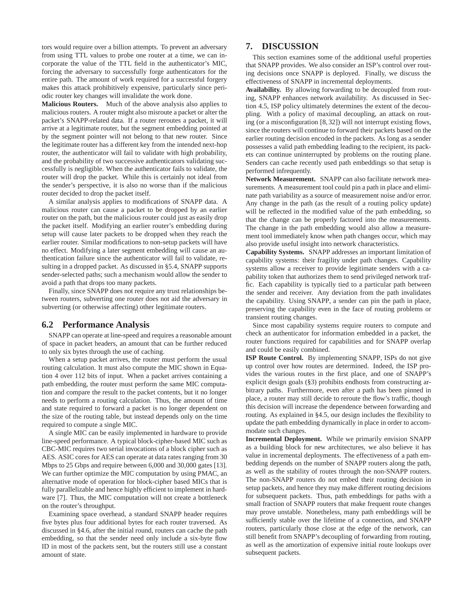tors would require over a billion attempts. To prevent an adversary from using TTL values to probe one router at a time, we can incorporate the value of the TTL field in the authenticator's MIC, forcing the adversary to successfully forge authenticators for the entire path. The amount of work required for a successful forgery makes this attack prohibitively expensive, particularly since periodic router key changes will invalidate the work done.

**Malicious Routers.** Much of the above analysis also applies to malicious routers. A router might also misroute a packet or alter the packet's SNAPP-related data. If a router reroutes a packet, it will arrive at a legitimate router, but the segment embedding pointed at by the segment pointer will not belong to that new router. Since the legitimate router has a different key from the intended next-hop router, the authenticator will fail to validate with high probability, and the probability of two successive authenticators validating successfully is negligible. When the authenticator fails to validate, the router will drop the packet. While this is certainly not ideal from the sender's perspective, it is also no worse than if the malicious router decided to drop the packet itself.

A similar analysis applies to modifications of SNAPP data. A malicious router can cause a packet to be dropped by an earlier router on the path, but the malicious router could just as easily drop the packet itself. Modifying an earlier router's embedding during setup will cause later packets to be dropped when they reach the earlier router. Similar modifications to non-setup packets will have no effect. Modifying a later segment embedding will cause an authentication failure since the authenticator will fail to validate, resulting in a dropped packet. As discussed in §5.4, SNAPP supports sender-selected paths; such a mechanism would allow the sender to avoid a path that drops too many packets.

Finally, since SNAPP does not require any trust relationships between routers, subverting one router does not aid the adversary in subverting (or otherwise affecting) other legitimate routers.

#### **6.2 Performance Analysis**

SNAPP can operate at line-speed and requires a reasonable amount of space in packet headers, an amount that can be further reduced to only six bytes through the use of caching.

When a setup packet arrives, the router must perform the usual routing calculation. It must also compute the MIC shown in Equation 4 over 112 bits of input. When a packet arrives containing a path embedding, the router must perform the same MIC computation and compare the result to the packet contents, but it no longer needs to perform a routing calculation. Thus, the amount of time and state required to forward a packet is no longer dependent on the size of the routing table, but instead depends only on the time required to compute a single MIC.

A single MIC can be easily implemented in hardware to provide line-speed performance. A typical block-cipher-based MIC such as CBC-MIC requires two serial invocations of a block cipher such as AES. ASIC cores for AES can operate at data rates ranging from 30 Mbps to 25 Gbps and require between 6,000 and 30,000 gates [13]. We can further optimize the MIC computation by using PMAC, an alternative mode of operation for block-cipher based MICs that is fully parallelizable and hence highly efficient to implement in hardware [7]. Thus, the MIC computation will not create a bottleneck on the router's throughput.

Examining space overhead, a standard SNAPP header requires five bytes plus four additional bytes for each router traversed. As discussed in §4.6, after the initial round, routers can cache the path embedding, so that the sender need only include a six-byte flow ID in most of the packets sent, but the routers still use a constant amount of state.

## **7. DISCUSSION**

This section examines some of the additional useful properties that SNAPP provides. We also consider an ISP's control over routing decisions once SNAPP is deployed. Finally, we discuss the effectiveness of SNAPP in incremental deployments.

**Availability.** By allowing forwarding to be decoupled from routing, SNAPP enhances network availability. As discussed in Section 4.5, ISP policy ultimately determines the extent of the decoupling. With a policy of maximal decoupling, an attack on routing (or a misconfiguration [8, 32]) will not interrupt existing flows, since the routers will continue to forward their packets based on the earlier routing decision encoded in the packets. As long as a sender possesses a valid path embedding leading to the recipient, its packets can continue uninterrupted by problems on the routing plane. Senders can cache recently used path embeddings so that setup is performed infrequently.

**Network Measurement.** SNAPP can also facilitate network measurements. A measurement tool could pin a path in place and eliminate path variability as a source of measurement noise and/or error. Any change in the path (as the result of a routing policy update) will be reflected in the modified value of the path embedding, so that the change can be properly factored into the measurements. The change in the path embedding would also allow a measurement tool immediately know when path changes occur, which may also provide useful insight into network characteristics.

**Capability Systems.** SNAPP addresses an important limitation of capability systems: their fragility under path changes. Capability systems allow a receiver to provide legitimate senders with a capability token that authorizes them to send privileged network traffic. Each capability is typically tied to a particular path between the sender and receiver. Any deviation from the path invalidates the capability. Using SNAPP, a sender can pin the path in place, preserving the capability even in the face of routing problems or transient routing changes.

Since most capability systems require routers to compute and check an authenticator for information embedded in a packet, the router functions required for capabilities and for SNAPP overlap and could be easily combined.

**ISP Route Control.** By implementing SNAPP, ISPs do not give up control over how routes are determined. Indeed, the ISP provides the various routes in the first place, and one of SNAPP's explicit design goals (§3) prohibits endhosts from constructing arbitrary paths. Furthermore, even after a path has been pinned in place, a router may still decide to reroute the flow's traffic, though this decision will increase the dependence between forwarding and routing. As explained in §4.5, our design includes the flexibility to update the path embedding dynamically in place in order to accommodate such changes.

**Incremental Deployment.** While we primarily envision SNAPP as a building block for new architectures, we also believe it has value in incremental deployments. The effectiveness of a path embedding depends on the number of SNAPP routers along the path, as well as the stability of routes through the non-SNAPP routers. The non-SNAPP routers do not embed their routing decision in setup packets, and hence they may make different routing decisions for subsequent packets. Thus, path embeddings for paths with a small fraction of SNAPP routers that make frequent route changes may prove unstable. Nonetheless, many path embeddings will be sufficiently stable over the lifetime of a connection, and SNAPP routers, particularly those close at the edge of the network, can still benefit from SNAPP's decoupling of forwarding from routing, as well as the amortization of expensive initial route lookups over subsequent packets.